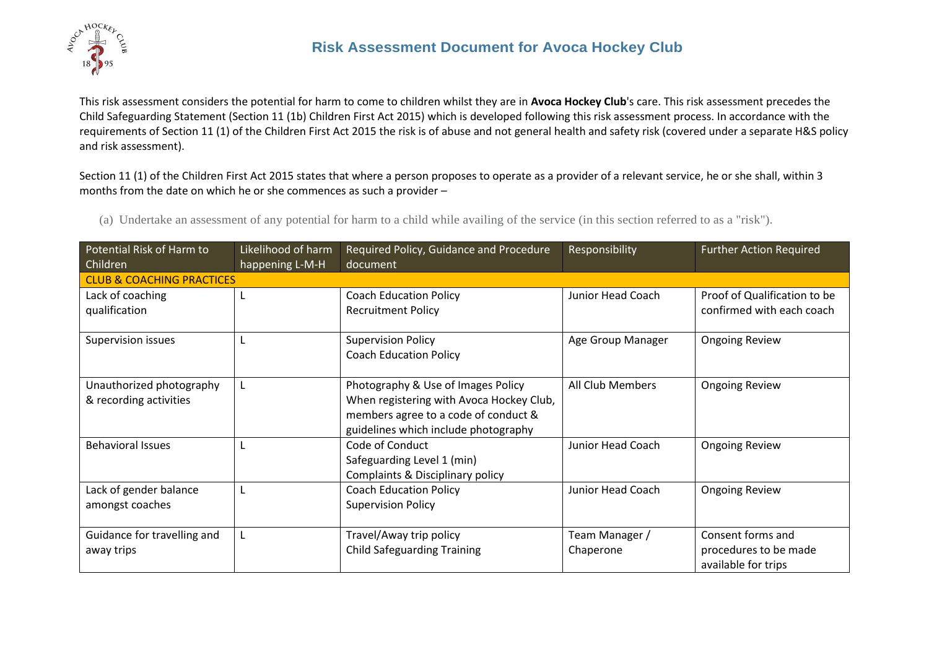

This risk assessment considers the potential for harm to come to children whilst they are in **Avoca Hockey Club**'s care. This risk assessment precedes the Child Safeguarding Statement (Section 11 (1b) Children First Act 2015) which is developed following this risk assessment process. In accordance with the requirements of Section 11 (1) of the Children First Act 2015 the risk is of abuse and not general health and safety risk (covered under a separate H&S policy and risk assessment).

Section 11 (1) of the Children First Act 2015 states that where a person proposes to operate as a provider of a relevant service, he or she shall, within 3 months from the date on which he or she commences as such a provider –

(a) Undertake an assessment of any potential for harm to a child while availing of the service (in this section referred to as a "risk").

| Potential Risk of Harm to            | Likelihood of harm | Required Policy, Guidance and Procedure                                      | Responsibility          | <b>Further Action Required</b> |
|--------------------------------------|--------------------|------------------------------------------------------------------------------|-------------------------|--------------------------------|
| Children                             | happening L-M-H    | document                                                                     |                         |                                |
| <b>CLUB &amp; COACHING PRACTICES</b> |                    |                                                                              |                         |                                |
| Lack of coaching                     |                    | <b>Coach Education Policy</b>                                                | Junior Head Coach       | Proof of Qualification to be   |
| qualification                        |                    | <b>Recruitment Policy</b>                                                    |                         | confirmed with each coach      |
| Supervision issues                   |                    | <b>Supervision Policy</b>                                                    | Age Group Manager       | <b>Ongoing Review</b>          |
|                                      |                    | <b>Coach Education Policy</b>                                                |                         |                                |
| Unauthorized photography             |                    | Photography & Use of Images Policy                                           | <b>All Club Members</b> | <b>Ongoing Review</b>          |
| & recording activities               |                    | When registering with Avoca Hockey Club,                                     |                         |                                |
|                                      |                    | members agree to a code of conduct &<br>guidelines which include photography |                         |                                |
| <b>Behavioral Issues</b>             |                    | Code of Conduct                                                              | Junior Head Coach       | <b>Ongoing Review</b>          |
|                                      |                    | Safeguarding Level 1 (min)                                                   |                         |                                |
|                                      |                    | Complaints & Disciplinary policy                                             |                         |                                |
| Lack of gender balance               |                    | <b>Coach Education Policy</b>                                                | Junior Head Coach       | <b>Ongoing Review</b>          |
| amongst coaches                      |                    | <b>Supervision Policy</b>                                                    |                         |                                |
|                                      |                    |                                                                              |                         |                                |
| Guidance for travelling and          |                    | Travel/Away trip policy                                                      | Team Manager /          | Consent forms and              |
| away trips                           |                    | <b>Child Safeguarding Training</b>                                           | Chaperone               | procedures to be made          |
|                                      |                    |                                                                              |                         | available for trips            |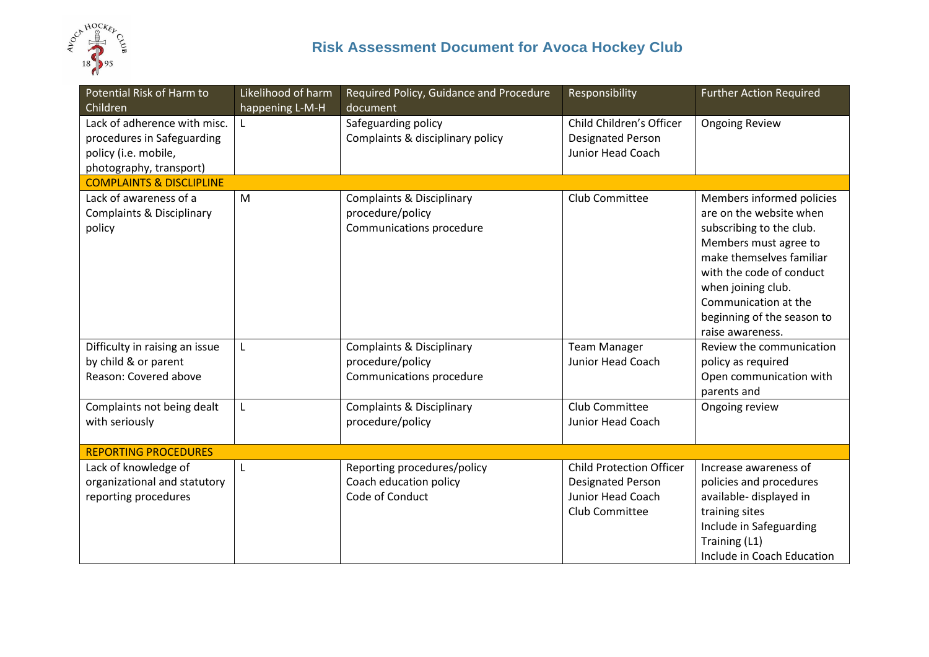

| Potential Risk of Harm to<br>Children                                                                         | Likelihood of harm<br>happening L-M-H | Required Policy, Guidance and Procedure<br>document                                  | Responsibility                                                                                     | <b>Further Action Required</b>                                                                                                                                                                                                                                    |
|---------------------------------------------------------------------------------------------------------------|---------------------------------------|--------------------------------------------------------------------------------------|----------------------------------------------------------------------------------------------------|-------------------------------------------------------------------------------------------------------------------------------------------------------------------------------------------------------------------------------------------------------------------|
| Lack of adherence with misc.<br>procedures in Safeguarding<br>policy (i.e. mobile,<br>photography, transport) | L                                     | Safeguarding policy<br>Complaints & disciplinary policy                              | Child Children's Officer<br><b>Designated Person</b><br>Junior Head Coach                          | <b>Ongoing Review</b>                                                                                                                                                                                                                                             |
| <b>COMPLAINTS &amp; DISCLIPLINE</b>                                                                           |                                       |                                                                                      |                                                                                                    |                                                                                                                                                                                                                                                                   |
| Lack of awareness of a<br><b>Complaints &amp; Disciplinary</b><br>policy                                      | M                                     | <b>Complaints &amp; Disciplinary</b><br>procedure/policy<br>Communications procedure | Club Committee                                                                                     | Members informed policies<br>are on the website when<br>subscribing to the club.<br>Members must agree to<br>make themselves familiar<br>with the code of conduct<br>when joining club.<br>Communication at the<br>beginning of the season to<br>raise awareness. |
| Difficulty in raising an issue<br>by child & or parent<br>Reason: Covered above                               | L                                     | <b>Complaints &amp; Disciplinary</b><br>procedure/policy<br>Communications procedure | <b>Team Manager</b><br><b>Junior Head Coach</b>                                                    | Review the communication<br>policy as required<br>Open communication with<br>parents and                                                                                                                                                                          |
| Complaints not being dealt<br>with seriously                                                                  | L                                     | <b>Complaints &amp; Disciplinary</b><br>procedure/policy                             | Club Committee<br>Junior Head Coach                                                                | Ongoing review                                                                                                                                                                                                                                                    |
| <b>REPORTING PROCEDURES</b>                                                                                   |                                       |                                                                                      |                                                                                                    |                                                                                                                                                                                                                                                                   |
| Lack of knowledge of<br>organizational and statutory<br>reporting procedures                                  | L                                     | Reporting procedures/policy<br>Coach education policy<br>Code of Conduct             | <b>Child Protection Officer</b><br><b>Designated Person</b><br>Junior Head Coach<br>Club Committee | Increase awareness of<br>policies and procedures<br>available- displayed in<br>training sites<br>Include in Safeguarding<br>Training (L1)<br>Include in Coach Education                                                                                           |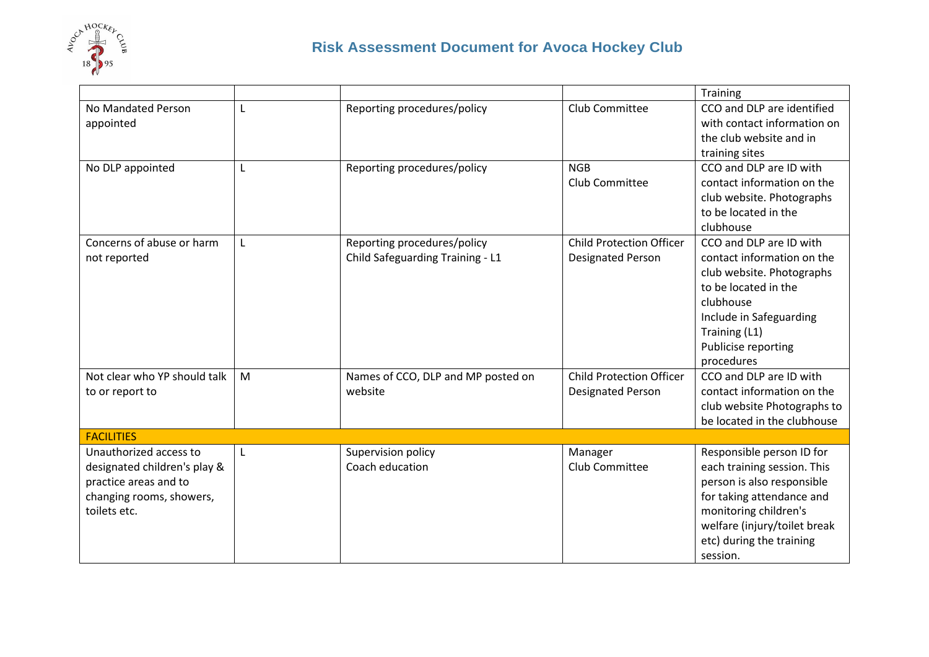

|                              |   |                                    |                                 | Training                     |
|------------------------------|---|------------------------------------|---------------------------------|------------------------------|
| No Mandated Person           |   | Reporting procedures/policy        | Club Committee                  | CCO and DLP are identified   |
| appointed                    |   |                                    |                                 | with contact information on  |
|                              |   |                                    |                                 | the club website and in      |
|                              |   |                                    |                                 | training sites               |
| No DLP appointed             |   | Reporting procedures/policy        | <b>NGB</b>                      | CCO and DLP are ID with      |
|                              |   |                                    | Club Committee                  | contact information on the   |
|                              |   |                                    |                                 | club website. Photographs    |
|                              |   |                                    |                                 | to be located in the         |
|                              |   |                                    |                                 | clubhouse                    |
| Concerns of abuse or harm    |   | Reporting procedures/policy        | <b>Child Protection Officer</b> | CCO and DLP are ID with      |
| not reported                 |   | Child Safeguarding Training - L1   | <b>Designated Person</b>        | contact information on the   |
|                              |   |                                    |                                 | club website. Photographs    |
|                              |   |                                    |                                 | to be located in the         |
|                              |   |                                    |                                 | clubhouse                    |
|                              |   |                                    |                                 | Include in Safeguarding      |
|                              |   |                                    |                                 | Training (L1)                |
|                              |   |                                    |                                 | Publicise reporting          |
|                              |   |                                    |                                 | procedures                   |
| Not clear who YP should talk | M | Names of CCO, DLP and MP posted on | <b>Child Protection Officer</b> | CCO and DLP are ID with      |
| to or report to              |   | website                            | <b>Designated Person</b>        | contact information on the   |
|                              |   |                                    |                                 | club website Photographs to  |
|                              |   |                                    |                                 | be located in the clubhouse  |
| <b>FACILITIES</b>            |   |                                    |                                 |                              |
| Unauthorized access to       | L | Supervision policy                 | Manager                         | Responsible person ID for    |
| designated children's play & |   | Coach education                    | <b>Club Committee</b>           | each training session. This  |
| practice areas and to        |   |                                    |                                 | person is also responsible   |
| changing rooms, showers,     |   |                                    |                                 | for taking attendance and    |
| toilets etc.                 |   |                                    |                                 | monitoring children's        |
|                              |   |                                    |                                 | welfare (injury/toilet break |
|                              |   |                                    |                                 | etc) during the training     |
|                              |   |                                    |                                 | session.                     |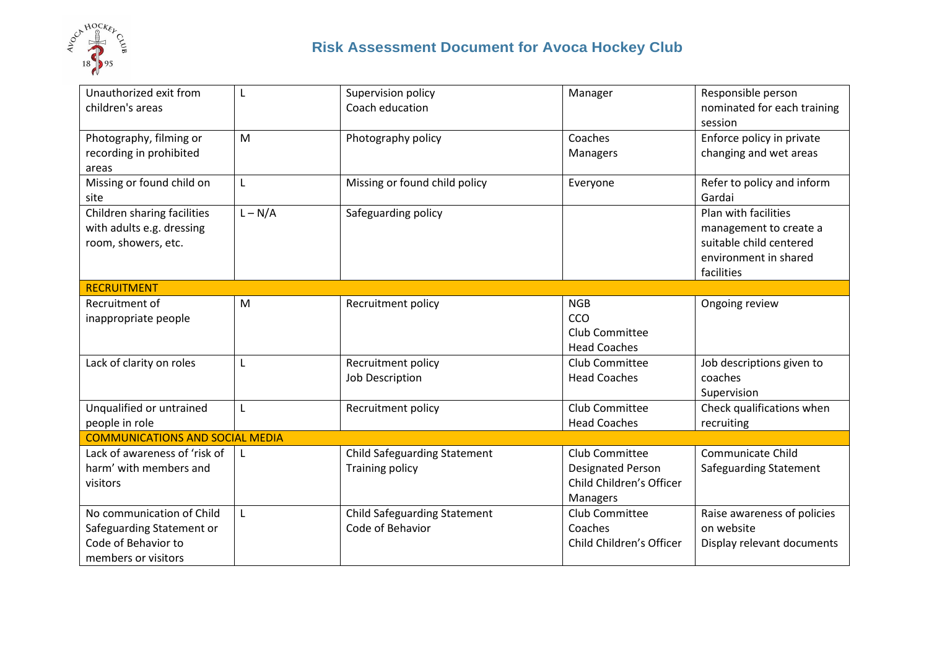

| Unauthorized exit from                 |           | Supervision policy                  | Manager                  | Responsible person            |
|----------------------------------------|-----------|-------------------------------------|--------------------------|-------------------------------|
| children's areas                       |           | Coach education                     |                          | nominated for each training   |
|                                        |           |                                     |                          | session                       |
| Photography, filming or                | M         | Photography policy                  | Coaches                  | Enforce policy in private     |
| recording in prohibited                |           |                                     | Managers                 | changing and wet areas        |
| areas                                  |           |                                     |                          |                               |
| Missing or found child on              | L         | Missing or found child policy       | Everyone                 | Refer to policy and inform    |
| site                                   |           |                                     |                          | Gardai                        |
| Children sharing facilities            | $L - N/A$ | Safeguarding policy                 |                          | Plan with facilities          |
| with adults e.g. dressing              |           |                                     |                          | management to create a        |
| room, showers, etc.                    |           |                                     |                          | suitable child centered       |
|                                        |           |                                     |                          | environment in shared         |
|                                        |           |                                     |                          | facilities                    |
| <b>RECRUITMENT</b>                     |           |                                     |                          |                               |
| Recruitment of                         | M         | Recruitment policy                  | <b>NGB</b>               | Ongoing review                |
| inappropriate people                   |           |                                     | CCO                      |                               |
|                                        |           |                                     | Club Committee           |                               |
|                                        |           |                                     | <b>Head Coaches</b>      |                               |
| Lack of clarity on roles               | L         | Recruitment policy                  | Club Committee           | Job descriptions given to     |
|                                        |           | <b>Job Description</b>              | <b>Head Coaches</b>      | coaches                       |
|                                        |           |                                     |                          | Supervision                   |
| Unqualified or untrained               | L         | Recruitment policy                  | Club Committee           | Check qualifications when     |
| people in role                         |           |                                     | <b>Head Coaches</b>      | recruiting                    |
| <b>COMMUNICATIONS AND SOCIAL MEDIA</b> |           |                                     |                          |                               |
| Lack of awareness of 'risk of          |           | <b>Child Safeguarding Statement</b> | Club Committee           | <b>Communicate Child</b>      |
| harm' with members and                 |           | <b>Training policy</b>              | <b>Designated Person</b> | <b>Safeguarding Statement</b> |
| visitors                               |           |                                     | Child Children's Officer |                               |
|                                        |           |                                     | Managers                 |                               |
| No communication of Child              |           | <b>Child Safeguarding Statement</b> | Club Committee           | Raise awareness of policies   |
| Safeguarding Statement or              |           | Code of Behavior                    | Coaches                  | on website                    |
| Code of Behavior to                    |           |                                     | Child Children's Officer | Display relevant documents    |
| members or visitors                    |           |                                     |                          |                               |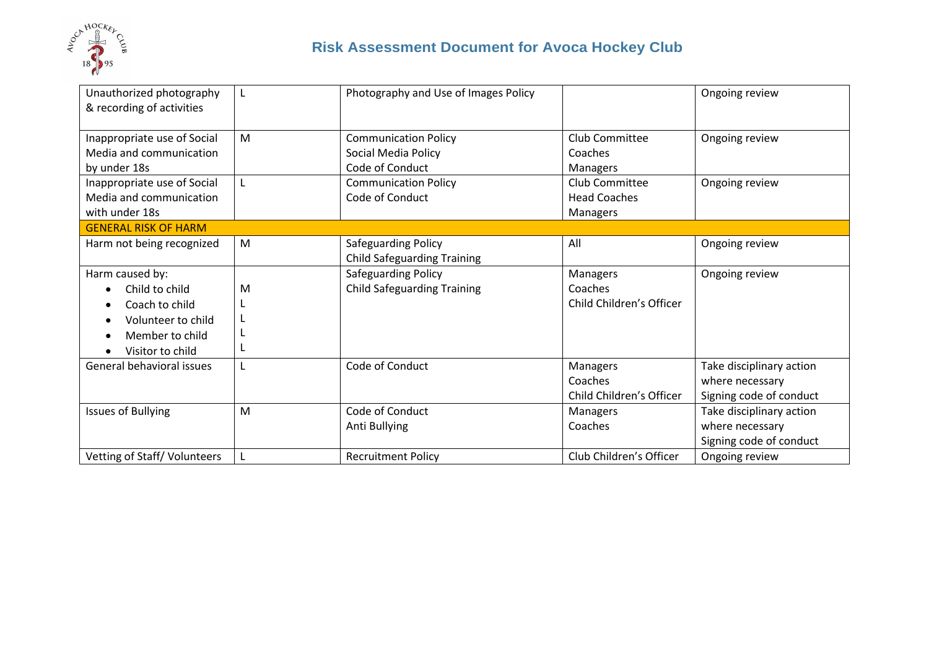

|   | Photography and Use of Images Policy |                          | Ongoing review           |
|---|--------------------------------------|--------------------------|--------------------------|
|   |                                      |                          |                          |
|   |                                      |                          |                          |
| M | <b>Communication Policy</b>          | <b>Club Committee</b>    | Ongoing review           |
|   | Social Media Policy                  | Coaches                  |                          |
|   | Code of Conduct                      | <b>Managers</b>          |                          |
|   | <b>Communication Policy</b>          | Club Committee           | Ongoing review           |
|   | Code of Conduct                      | <b>Head Coaches</b>      |                          |
|   |                                      | Managers                 |                          |
|   |                                      |                          |                          |
| M | Safeguarding Policy                  | All                      | Ongoing review           |
|   | <b>Child Safeguarding Training</b>   |                          |                          |
|   | Safeguarding Policy                  | Managers                 | Ongoing review           |
| M | <b>Child Safeguarding Training</b>   | Coaches                  |                          |
|   |                                      | Child Children's Officer |                          |
|   |                                      |                          |                          |
|   |                                      |                          |                          |
|   |                                      |                          |                          |
|   | Code of Conduct                      | Managers                 | Take disciplinary action |
|   |                                      | Coaches                  | where necessary          |
|   |                                      | Child Children's Officer | Signing code of conduct  |
| M | Code of Conduct                      | Managers                 | Take disciplinary action |
|   | Anti Bullying                        | Coaches                  | where necessary          |
|   |                                      |                          | Signing code of conduct  |
|   | <b>Recruitment Policy</b>            | Club Children's Officer  | Ongoing review           |
|   |                                      |                          |                          |